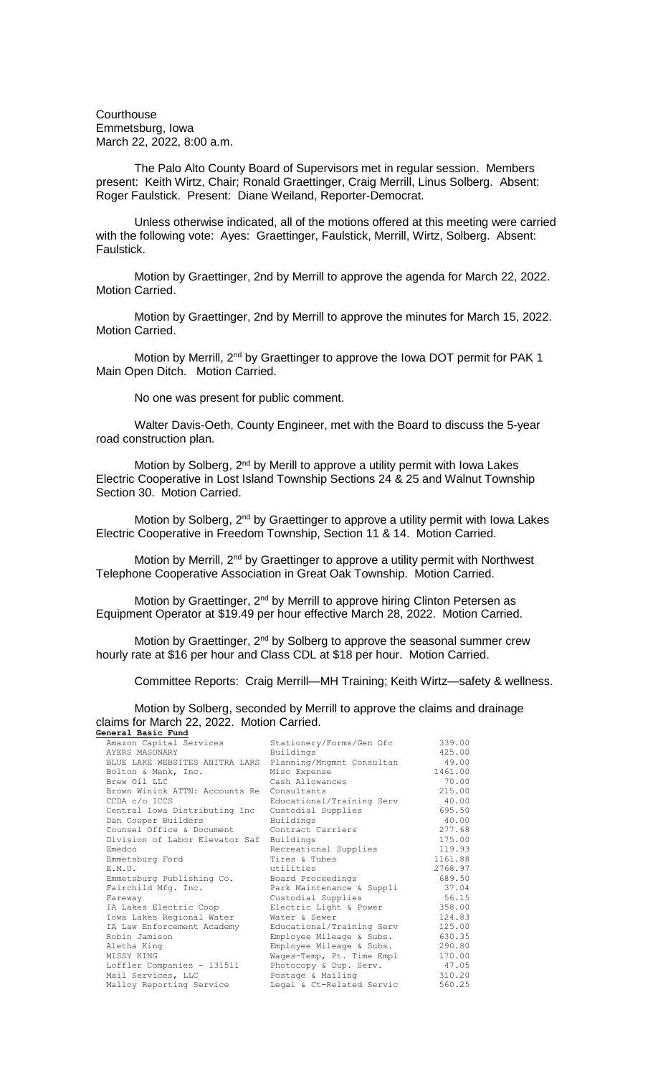**Courthouse** Emmetsburg, Iowa March 22, 2022, 8:00 a.m.

The Palo Alto County Board of Supervisors met in regular session. Members present: Keith Wirtz, Chair; Ronald Graettinger, Craig Merrill, Linus Solberg. Absent: Roger Faulstick. Present: Diane Weiland, Reporter-Democrat.

Unless otherwise indicated, all of the motions offered at this meeting were carried with the following vote: Ayes: Graettinger, Faulstick, Merrill, Wirtz, Solberg. Absent: Faulstick.

Motion by Graettinger, 2nd by Merrill to approve the agenda for March 22, 2022. Motion Carried.

Motion by Graettinger, 2nd by Merrill to approve the minutes for March 15, 2022. Motion Carried.

Motion by Merrill, 2<sup>nd</sup> by Graettinger to approve the Iowa DOT permit for PAK 1 Main Open Ditch. Motion Carried.

No one was present for public comment.

Walter Davis-Oeth, County Engineer, met with the Board to discuss the 5-year road construction plan.

Motion by Solberg,  $2^{nd}$  by Merill to approve a utility permit with Iowa Lakes Electric Cooperative in Lost Island Township Sections 24 & 25 and Walnut Township Section 30. Motion Carried.

Motion by Solberg, 2<sup>nd</sup> by Graettinger to approve a utility permit with Iowa Lakes Electric Cooperative in Freedom Township, Section 11 & 14. Motion Carried.

Motion by Merrill, 2<sup>nd</sup> by Graettinger to approve a utility permit with Northwest Telephone Cooperative Association in Great Oak Township. Motion Carried.

Motion by Graettinger, 2<sup>nd</sup> by Merrill to approve hiring Clinton Petersen as Equipment Operator at \$19.49 per hour effective March 28, 2022. Motion Carried.

Motion by Graettinger, 2<sup>nd</sup> by Solberg to approve the seasonal summer crew hourly rate at \$16 per hour and Class CDL at \$18 per hour. Motion Carried.

Committee Reports: Craig Merrill—MH Training; Keith Wirtz—safety & wellness.

Motion by Solberg, seconded by Merrill to approve the claims and drainage claims for March 22, 2022. Motion Carried. **General Basic Fund**

| Amazon Capital Services        | Stationery/Forms/Gen Ofc  | 339.00  |
|--------------------------------|---------------------------|---------|
| AYERS MASONARY                 | Buildings                 | 425.00  |
| BLUE LAKE WEBSITES ANITRA LARS | Planning/Mngmnt Consultan | 49.00   |
| Bolton & Menk, Inc.            | Misc Expense              | 1461.00 |
| Brew Oil LLC                   | Cash Allowances           | 70.00   |
| Brown Winick ATTN: Accounts Re | Consultants               | 215.00  |
| CCDA c/o ICCS                  | Educational/Training Serv | 40.00   |
| Central Iowa Distributing Inc  | Custodial Supplies        | 695.50  |
| Dan Cooper Builders            | Buildings                 | 40.00   |
| Counsel Office & Document      | Contract Carriers         | 277.68  |
| Division of Labor Elevator Saf | Buildings                 | 175.00  |
| Emedco                         | Recreational Supplies     | 119.93  |
| Emmetsburg Ford                | Tires & Tubes             | 1161.88 |
| E.M.U.                         | utilities                 | 2768.97 |
| Emmetsburg Publishing Co.      | Board Proceedings         | 689.50  |
| Fairchild Mfg. Inc.            | Park Maintenance & Suppli | 37.04   |
| Fareway                        | Custodial Supplies        | 56.15   |
| IA Lakes Electric Coop         | Electric Light & Power    | 358.00  |
| Iowa Lakes Regional Water      | Water & Sewer             | 124.83  |
| IA Law Enforcement Academy     | Educational/Training Serv | 125.00  |
| Robin Jamison                  | Employee Mileage & Subs.  | 630.35  |
| Aletha King                    | Employee Mileage & Subs.  | 290.80  |
| MISSY KING                     | Wages-Temp, Pt. Time Empl | 170.00  |
| Loffler Companies - 131511     | Photocopy & Dup. Serv.    | 47.05   |
| Mail Services, LLC             | Postage & Mailing         | 310.20  |
| Malloy Reporting Service       | Legal & Ct-Related Servic | 560.25  |
|                                |                           |         |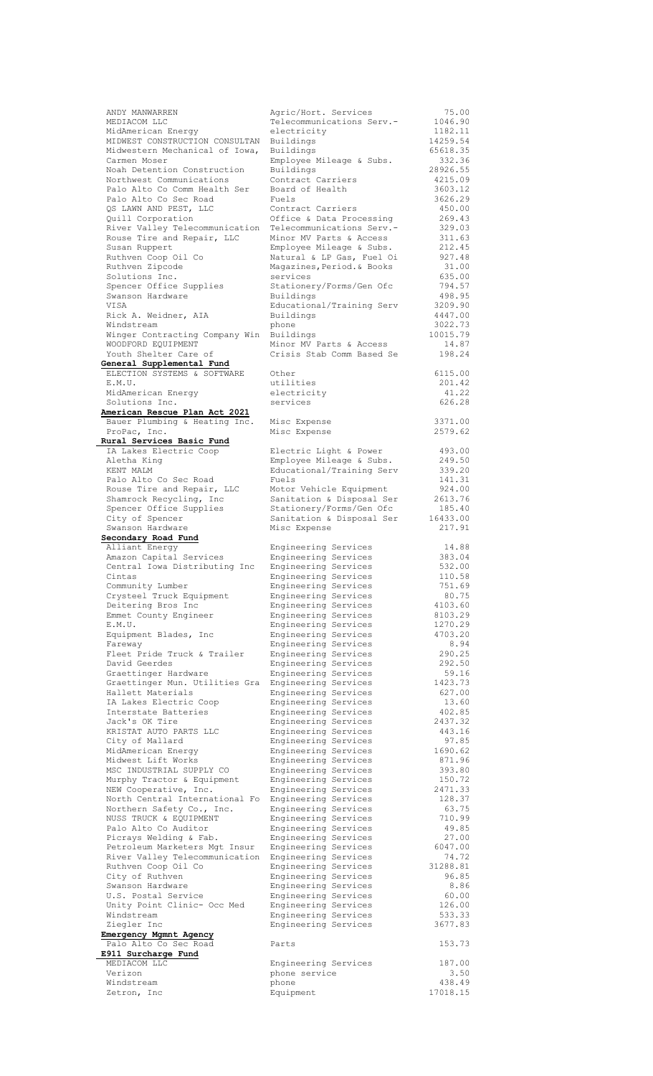| ANDY MANWARREN                                  | Agric/Hort. Services       | 75.00              |
|-------------------------------------------------|----------------------------|--------------------|
| MEDIACOM LLC                                    | Telecommunications Serv.-  | 1046.90            |
| MidAmerican Energy                              | electricity                | 1182.11            |
| MIDWEST CONSTRUCTION CONSULTAN                  | Buildings                  | 14259.54           |
| Midwestern Mechanical of Iowa,                  | Buildings                  | 65618.35           |
| Carmen Moser                                    | Employee Mileage & Subs.   | 332.36             |
| Noah Detention Construction                     | Buildings                  | 28926.55           |
|                                                 |                            | 4215.09            |
| Northwest Communications                        | Contract Carriers          |                    |
| Palo Alto Co Comm Health Ser                    | Board of Health            | 3603.12            |
| Palo Alto Co Sec Road                           | Fuels                      | 3626.29            |
| QS LAWN AND PEST, LLC                           | Contract Carriers          | 450.00             |
| Quill Corporation                               | Office & Data Processing   | 269.43             |
| River Valley Telecommunication                  | Telecommunications Serv.-  | 329.03             |
| Rouse Tire and Repair, LLC                      | Minor MV Parts & Access    | 311.63             |
| Susan Ruppert                                   | Employee Mileage & Subs.   | 212.45             |
| Ruthven Coop Oil Co                             | Natural & LP Gas, Fuel Oi  | 927.48             |
| Ruthven Zipcode                                 | Magazines, Period. & Books | 31.00              |
| Solutions Inc.                                  | services                   | 635.00             |
|                                                 |                            |                    |
| Spencer Office Supplies                         | Stationery/Forms/Gen Ofc   | 794.57             |
| Swanson Hardware                                | Buildings                  | 498.95             |
| VISA                                            | Educational/Training Serv  | 3209.90            |
| Rick A. Weidner, AIA                            | Buildings                  | 4447.00            |
| Windstream                                      | phone                      | 3022.73            |
| Winger Contracting Company Win                  | Buildings                  | 10015.79           |
| WOODFORD EQUIPMENT                              | Minor MV Parts & Access    | 14.87              |
| Youth Shelter Care of                           | Crisis Stab Comm Based Se  | 198.24             |
| General Supplemental Fund                       |                            |                    |
| ELECTION SYSTEMS & SOFTWARE                     | Other                      | 6115.00            |
| E.M.U.                                          | utilities                  | 201.42             |
|                                                 |                            |                    |
| MidAmerican Energy                              | electricity                | 41.22              |
| Solutions Inc.                                  | services                   | 626.28             |
| American Rescue Plan Act 2021                   |                            |                    |
| Bauer Plumbing & Heating Inc.                   | Misc Expense               | 3371.00            |
| ProPac, Inc.                                    | Misc Expense               | 2579.62            |
| Rural Services Basic Fund                       |                            |                    |
| IA Lakes Electric Coop                          | Electric Light & Power     | 493.00             |
| Aletha King                                     | Employee Mileage & Subs.   | 249.50             |
| KENT MALM                                       | Educational/Training Serv  | 339.20             |
|                                                 |                            |                    |
| Palo Alto Co Sec Road                           | Fuels                      | 141.31             |
| Rouse Tire and Repair, LLC                      | Motor Vehicle Equipment    | 924.00             |
| Shamrock Recycling, Inc                         | Sanitation & Disposal Ser  | 2613.76            |
| Spencer Office Supplies                         | Stationery/Forms/Gen Ofc   | 185.40             |
| City of Spencer                                 | Sanitation & Disposal Ser  | 16433.00           |
| Swanson Hardware                                | Misc Expense               | 217.91             |
| Secondary Road Fund                             |                            |                    |
| Alliant Energy                                  | Engineering Services       | 14.88              |
| Amazon Capital Services                         | Engineering Services       | 383.04             |
| Central Iowa Distributing Inc                   | Engineering Services       | 532.00             |
| Cintas                                          | Engineering Services       | 110.58             |
|                                                 |                            |                    |
| Community Lumber                                | Engineering Services       | 751.69             |
| Crysteel Truck Equipment                        | Engineering Services       | 80.75              |
| Deitering Bros Inc                              | Engineering Services       | 4103.60            |
| Emmet County Engineer                           | Engineering Services       | 8103.29            |
|                                                 |                            |                    |
| E.M.U.                                          | Engineering Services       | 1270.29            |
|                                                 |                            | 4703.20            |
| Equipment Blades, Inc                           | Engineering Services       |                    |
| Fareway                                         | Engineering Services       | 8.94               |
| Fleet Pride Truck & Trailer                     | Engineering Services       | 290.25             |
| David Geerdes                                   | Engineering Services       | 292.50             |
| Graettinger Hardware                            | Engineering Services       | 59.16              |
| Graettinger Mun. Utilities Gra                  | Engineering Services       | 1423.73            |
| Hallett Materials                               | Engineering Services       | 627.00             |
| IA Lakes Electric Coop                          | Engineering Services       | 13.60              |
| Interstate Batteries                            | Engineering Services       | 402.85             |
| Jack's OK Tire                                  | Engineering Services       | 2437.32            |
| KRISTAT AUTO PARTS LLC                          | Engineering Services       | 443.16             |
|                                                 |                            |                    |
| City of Mallard                                 | Engineering Services       | 97.85              |
| MidAmerican Energy                              | Engineering Services       | 1690.62            |
| Midwest Lift Works                              | Engineering Services       | 871.96             |
| MSC INDUSTRIAL SUPPLY CO                        | Engineering Services       | 393.80             |
| Murphy Tractor & Equipment                      | Engineering Services       | 150.72             |
| NEW Cooperative, Inc.                           | Engineering Services       | 2471.33            |
| North Central International Fo                  | Engineering Services       | 128.37             |
| Northern Safety Co., Inc.                       | Engineering Services       | 63.75              |
| NUSS TRUCK & EQUIPMENT                          | Engineering Services       | 710.99             |
| Palo Alto Co Auditor                            | Engineering Services       | 49.85              |
| Picrays Welding & Fab.                          | Engineering Services       | 27.00              |
|                                                 |                            |                    |
| Petroleum Marketers Mgt Insur                   | Engineering Services       | 6047.00            |
| River Valley Telecommunication                  | Engineering Services       | 74.72              |
| Ruthven Coop Oil Co                             | Engineering Services       | 31288.81           |
| City of Ruthven                                 | Engineering Services       | 96.85              |
| Swanson Hardware                                | Engineering Services       | 8.86               |
| U.S. Postal Service                             | Engineering Services       | 60.00              |
| Unity Point Clinic- Occ Med                     | Engineering Services       | 126.00             |
| Windstream                                      | Engineering Services       | 533.33             |
| Ziegler Inc                                     | Engineering Services       | 3677.83            |
|                                                 |                            |                    |
| Emergency Mgmnt Agency<br>Palo Alto Co Sec Road | Parts                      | 153.73             |
|                                                 |                            |                    |
| E911 Surcharge Fund                             |                            |                    |
| MEDIACOM LLC                                    | Engineering Services       | 187.00             |
| Verizon                                         | phone service              | 3.50               |
| Windstream<br>Zetron, Inc                       | phone<br>Equipment         | 438.49<br>17018.15 |